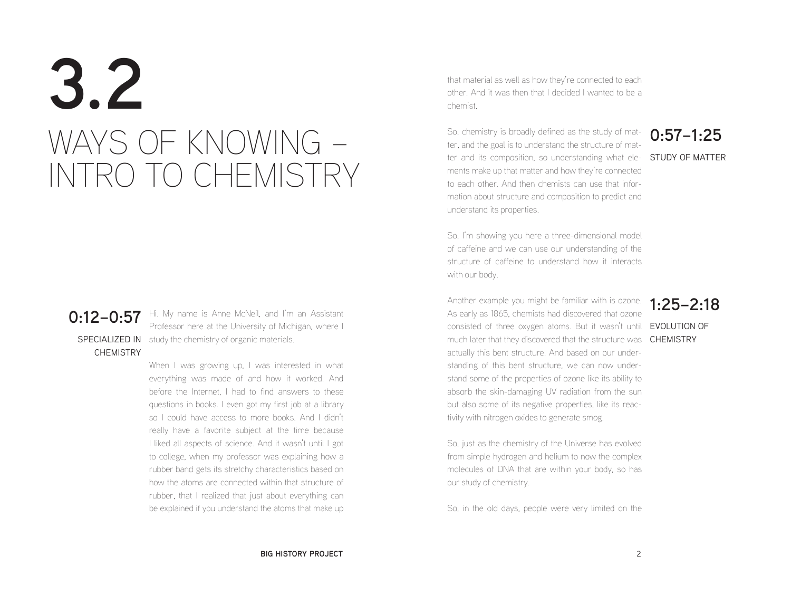# **3.2** WAYS OF KNOWING – INTRO TO CHEMISTRY

**CHEMISTRY** 

**0:12–0:57** Hi. My name is Anne McNeil, and I'm an Assistant<br>Perform a container that the University of Michigan where L SPECIALIZED IN study the chemistry of organic materials. Professor here at the University of Michigan, where I

> When I was growing up. I was interested in what everything was made of and how it worked. And before the Internet, I had to find answers to these questions in books. I even got my first job at a library so I could have access to more books. And I didn't really have a favorite subject at the time because I liked all aspects of science. And it wasn't until I got to college, when my professor was explaining how a rubber band gets its stretchy characteristics based on how the atoms are connected within that structure of rubber, that I realized that just about everything can be explained if you understand the atoms that make up

that material as well as how they're connected to each other. And it was then that I decided I wanted to be a chemist.

ter and its composition, so understanding what ele- **STUDY OF MATTER** So, chemistry is broadly defined as the study of matter, and the goal is to understand the structure of matments make up that matter and how they're connected to each other. And then chemists can use that information about structure and composition to predict and understand its properties.

## **0:57–1:25**

So, I'm showing you here a three-dimensional model of caffeine and we can use our understanding of the structure of caffeine to understand how it interacts with our body.

Another example you might be familiar with is ozone. **1:25–2:18** consisted of three oxygen atoms. But it wasn't until **EVOLUTION OF** much later that they discovered that the structure was **CHEMISTRY** As early as 1865, chemists had discovered that ozone actually this bent structure. And based on our understanding of this bent structure, we can now understand some of the properties of ozone like its ability to absorb the skin-damaging UV radiation from the sun but also some of its negative properties, like its reactivity with nitrogen oxides to generate smog.

So, just as the chemistry of the Universe has evolved from simple hydrogen and helium to now the complex molecules of DNA that are within your body, so has our study of chemistry.

So, in the old days, people were very limited on the